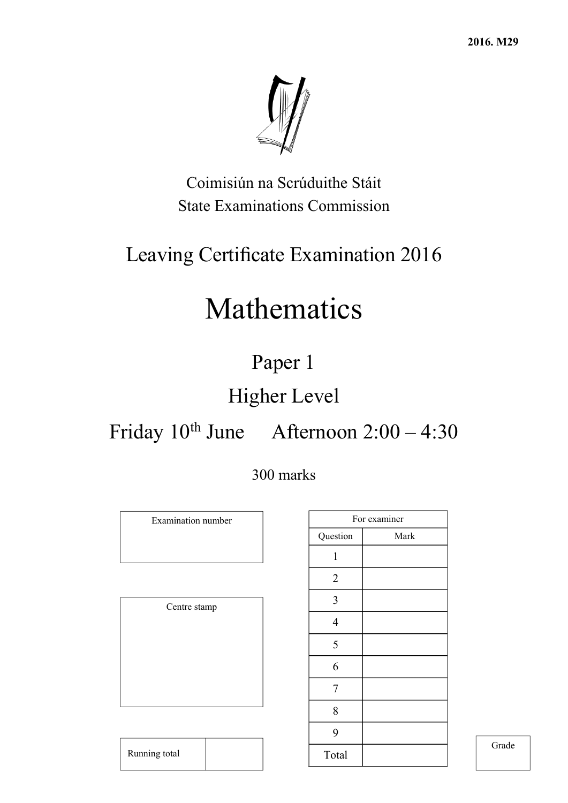

Coimisiún na Scrúduithe Stáit State Examinations Commission

## Leaving Certificate Examination 2016

# Mathematics

## Paper 1

## Higher Level

## Friday 10th June Afternoon 2:00 – 4:30

### 300 marks

Examination number Centre stamp

Running total

|                | For examiner |
|----------------|--------------|
| Question       | Mark         |
| 1              |              |
| $\overline{2}$ |              |
| 3              |              |
| $\overline{4}$ |              |
| 5              |              |
| 6              |              |
| 7              |              |
| 8              |              |
| 9              |              |
| Total          |              |

Grade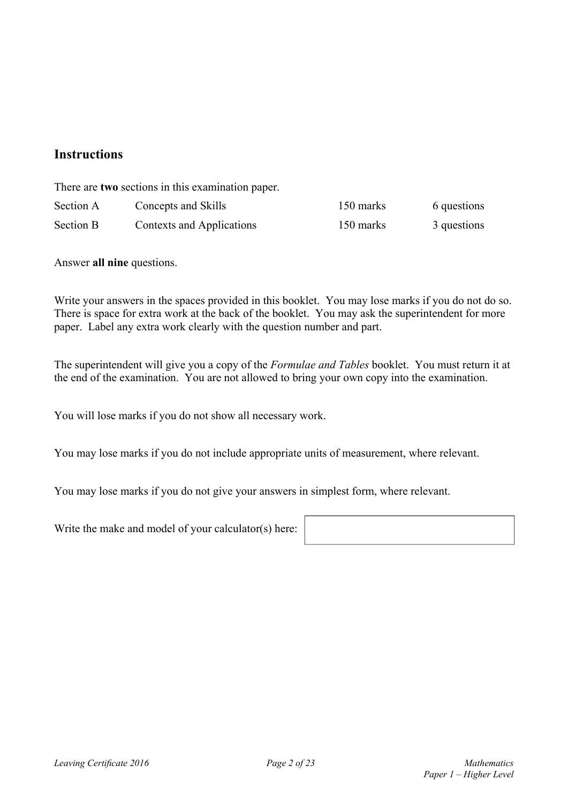### **Instructions**

There are **two** sections in this examination paper.

| Section A | Concepts and Skills       | 150 marks | 6 questions |
|-----------|---------------------------|-----------|-------------|
| Section B | Contexts and Applications | 150 marks | 3 questions |

Answer **all nine** questions.

Write your answers in the spaces provided in this booklet. You may lose marks if you do not do so. There is space for extra work at the back of the booklet. You may ask the superintendent for more paper. Label any extra work clearly with the question number and part.

The superintendent will give you a copy of the *Formulae and Tables* booklet. You must return it at the end of the examination. You are not allowed to bring your own copy into the examination.

You will lose marks if you do not show all necessary work.

You may lose marks if you do not include appropriate units of measurement, where relevant.

You may lose marks if you do not give your answers in simplest form, where relevant.

Write the make and model of your calculator(s) here:

| <u> 1989 - Johann Stoff, amerikansk politiker (d. 1989)</u> |  |  |
|-------------------------------------------------------------|--|--|
|                                                             |  |  |
|                                                             |  |  |
|                                                             |  |  |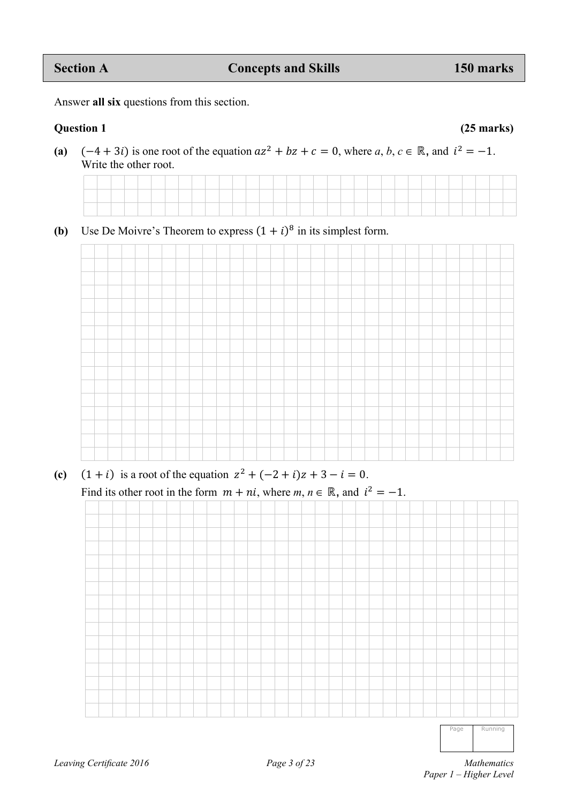### **Section A Concepts and Skills** 150 marks **150 marks**

Answer **all six** questions from this section.

### **Question 1 (25 marks)**

(a)  $(-4 + 3i)$  is one root of the equation  $az^2 + bz + c = 0$ , where *a*, *b*,  $c \in \mathbb{R}$ , and  $i^2 = -1$ . Write the other root.



**(b)** Use De Moivre's Theorem to express  $(1 + i)^8$  in its simplest form.



**(c)**  $(1 + i)$  is a root of the equation  $z^2 + (-2 + i)z + 3 - i = 0$ .

Find its other root in the form  $m + ni$ , where  $m, n \in \mathbb{R}$ , and  $i^2 = -1$ .



Page Running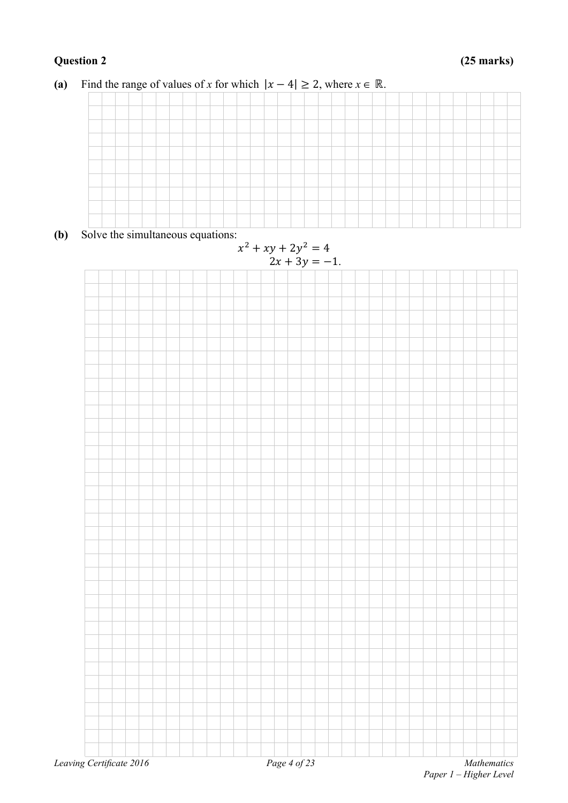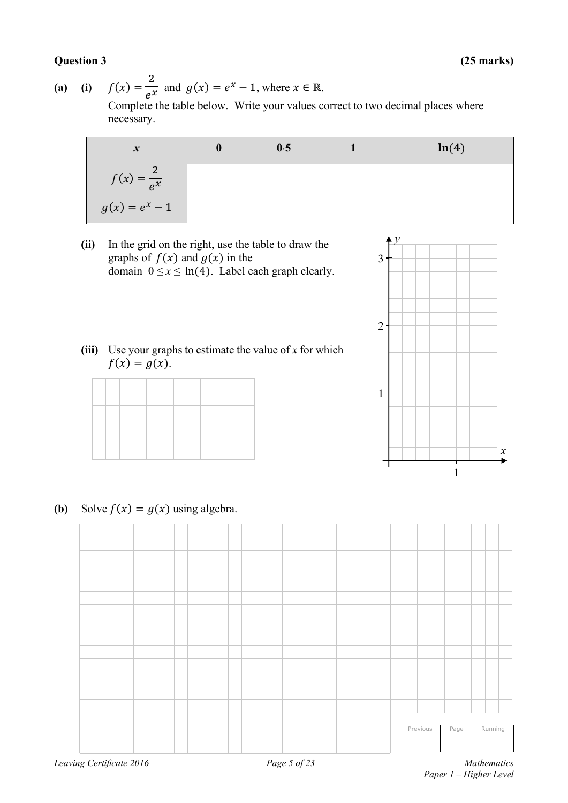### **Question 3 (25 marks)**

(a) (i)  $f(x) = \frac{2}{e^x}$  and  $g(x) = e^x - 1$ , where  $x \in \mathbb{R}$ . Complete the table below. Write your values correct to two decimal places where necessary.

| $\boldsymbol{x}$       | 0.5 | ln(4) |
|------------------------|-----|-------|
| $f(x) = \frac{2}{e^x}$ |     |       |
| $g(x) = e^x - 1$       |     |       |

**(ii)** In the grid on the right, use the table to draw the graphs of  $f(x)$  and  $g(x)$  in the domain  $0 \le x \le \ln(4)$ . Label each graph clearly.



**(iii)** Use your graphs to estimate the value of *x* for which  $f(x) = g(x)$ .

|  | _____ | _____ | _____ | _____ |  |  |  |
|--|-------|-------|-------|-------|--|--|--|
|  |       |       |       |       |  |  |  |
|  |       |       |       |       |  |  |  |

**(b)** Solve  $f(x) = g(x)$  using algebra.



 *Paper 1 – Higher Level*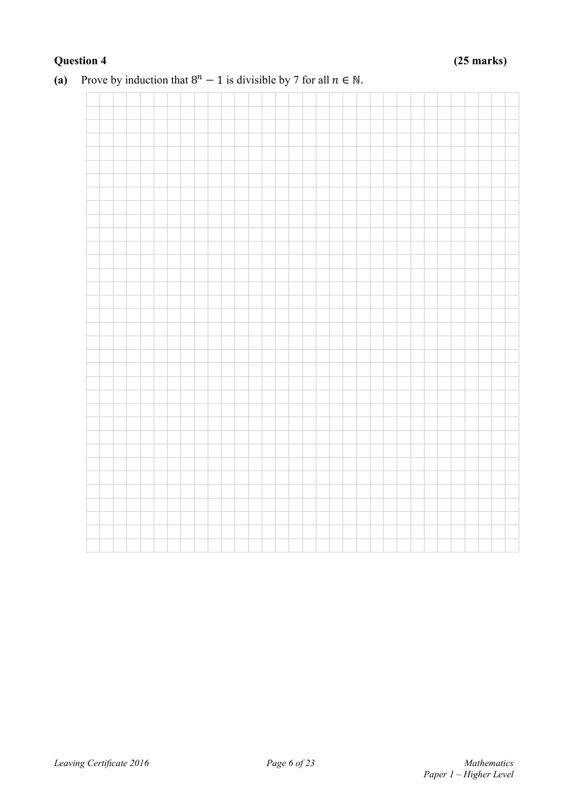### **Question 4 (25 marks)**



### (a) Prove by induction that  $8^n - 1$  is divisible by 7 for all  $n \in \mathbb{N}$ .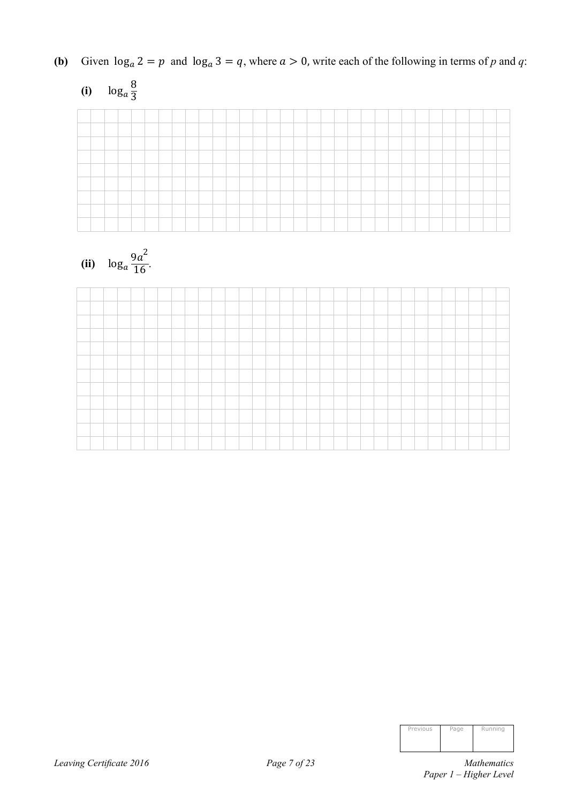**(b)** Given  $\log_a 2 = p$  and  $\log_a 3 = q$ , where  $a > 0$ , write each of the following in terms of *p* and *q*:

| (i) $\log_a \frac{8}{3}$ |  |  |  |  |  |  |  |  |  |  |  |  |  |  |  |  |
|--------------------------|--|--|--|--|--|--|--|--|--|--|--|--|--|--|--|--|
|                          |  |  |  |  |  |  |  |  |  |  |  |  |  |  |  |  |
|                          |  |  |  |  |  |  |  |  |  |  |  |  |  |  |  |  |
|                          |  |  |  |  |  |  |  |  |  |  |  |  |  |  |  |  |
|                          |  |  |  |  |  |  |  |  |  |  |  |  |  |  |  |  |
|                          |  |  |  |  |  |  |  |  |  |  |  |  |  |  |  |  |
|                          |  |  |  |  |  |  |  |  |  |  |  |  |  |  |  |  |
|                          |  |  |  |  |  |  |  |  |  |  |  |  |  |  |  |  |
|                          |  |  |  |  |  |  |  |  |  |  |  |  |  |  |  |  |
|                          |  |  |  |  |  |  |  |  |  |  |  |  |  |  |  |  |





| Previous | Page | Running |
|----------|------|---------|
|          |      |         |
|          |      |         |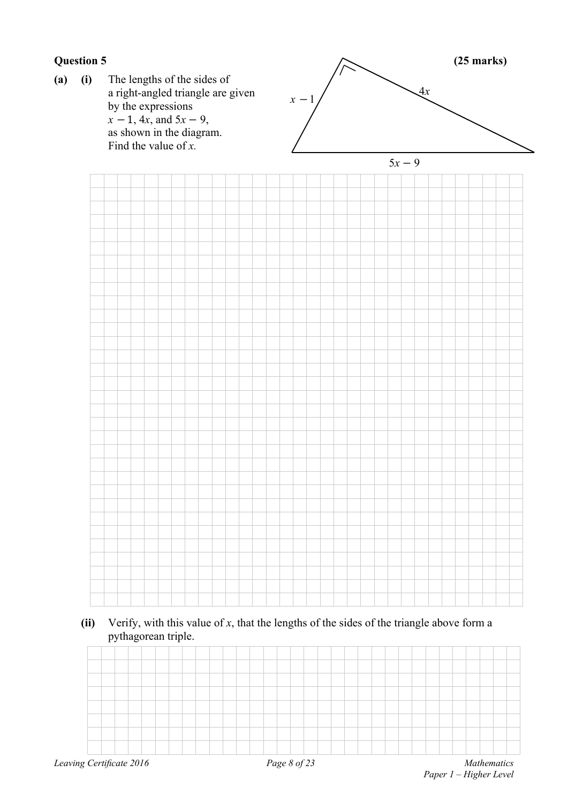

### **(ii)** Verify, with this value of *x*, that the lengths of the sides of the triangle above form a pythagorean triple.

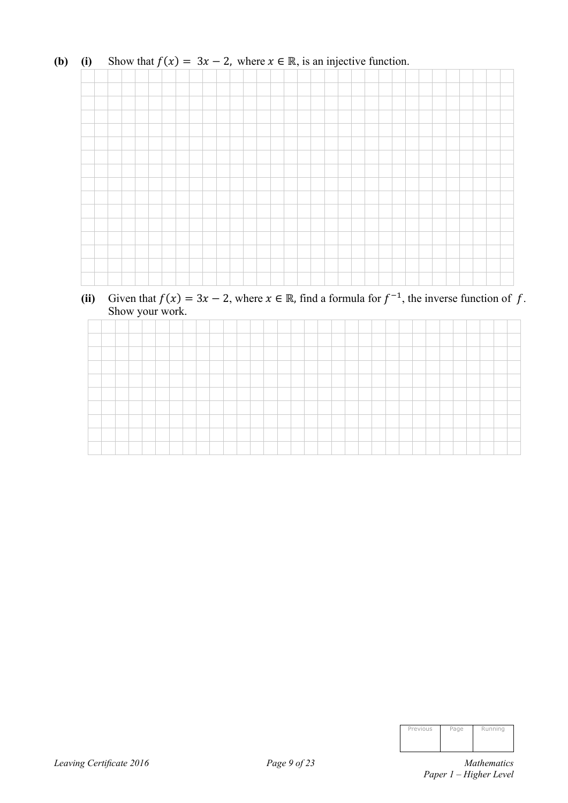

### **(b)** (i) Show that  $f(x) = 3x - 2$ , where  $x \in \mathbb{R}$ , is an injective function.

(ii) Given that  $f(x) = 3x - 2$ , where  $x \in \mathbb{R}$ , find a formula for  $f^{-1}$ , the inverse function of f. Show your work.

| Previous | Page | Running |
|----------|------|---------|
|          |      |         |
|          |      |         |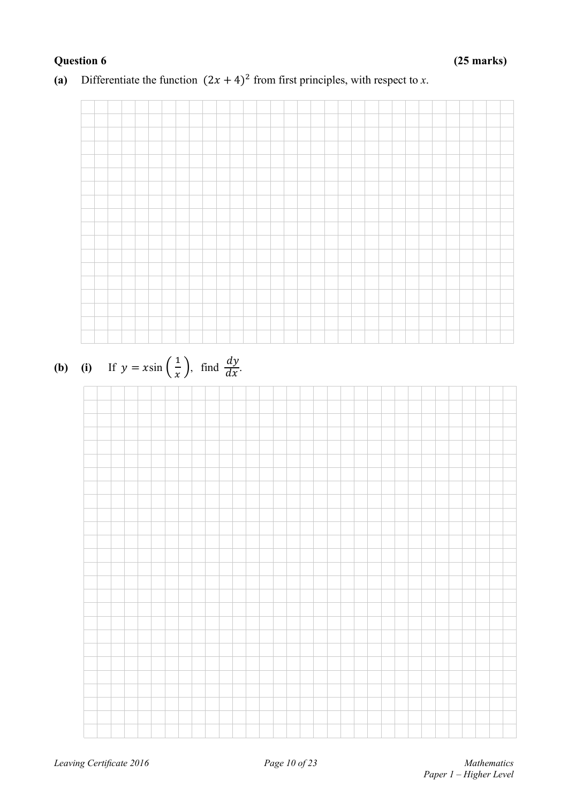

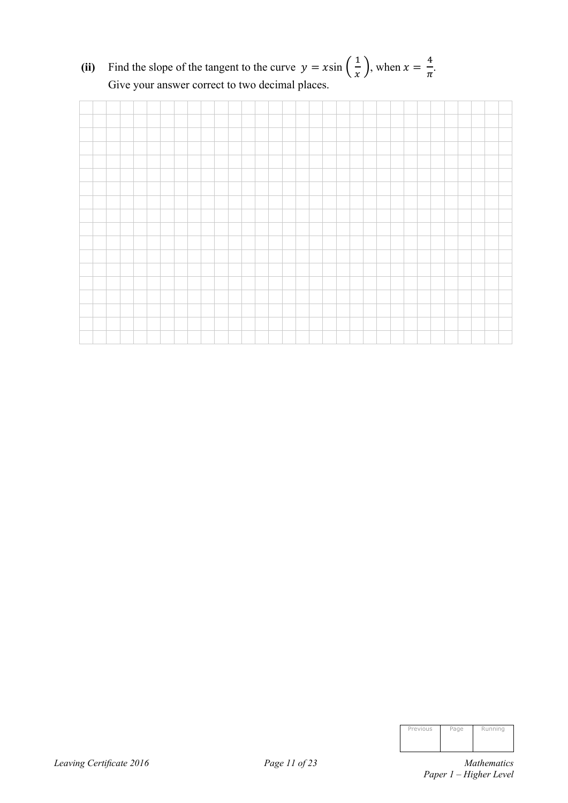(ii) Find the slope of the tangent to the curve  $y = x \sin\left(\frac{1}{x}\right)$ , when  $x = \frac{4}{\pi}$  $\frac{1}{\pi}$ . Give your answer correct to two decimal places.



| Previous | Page | Running |
|----------|------|---------|
|          |      |         |
|          |      |         |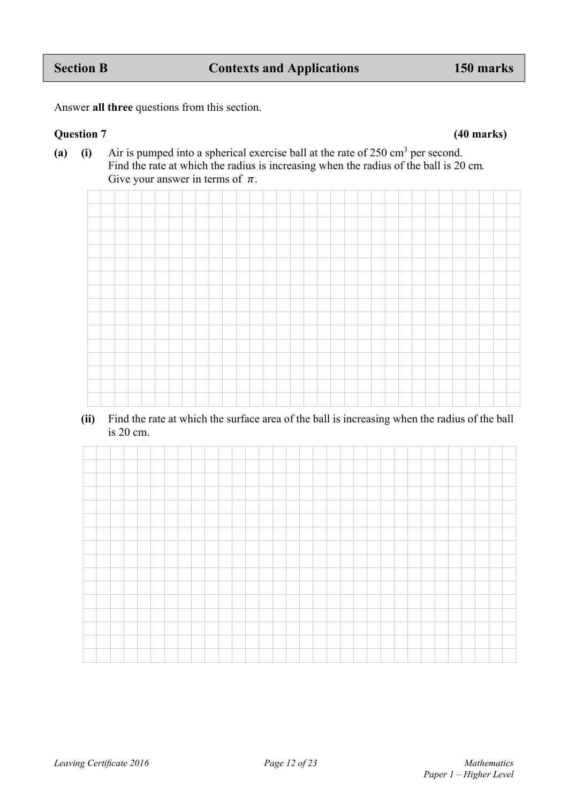(a) (i) Air is pumped into a spherical exercise ball at the rate of  $250 \text{ cm}^3$  per second. Find the rate at which the radius is increasing when the radius of the ball is 20 cm*.*  Give your answer in terms of  $\pi$ .



### **(ii)** Find the rate at which the surface area of the ball is increasing when the radius of the ball is 20 cm.

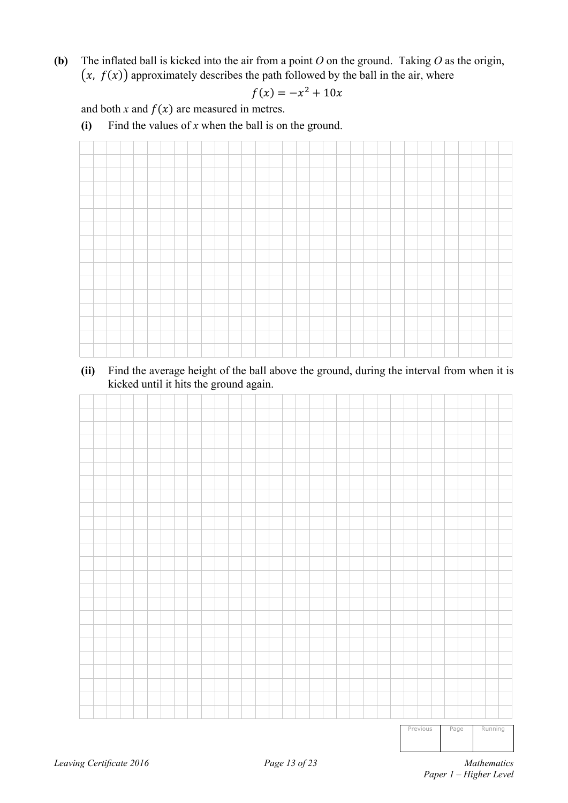**(b)** The inflated ball is kicked into the air from a point *O* on the ground. Taking *O* as the origin,  $(x, f(x))$  approximately describes the path followed by the ball in the air, where

$$
f(x) = -x^2 + 10x
$$

and both  $x$  and  $f(x)$  are measured in metres.

 **(i)** Find the values of *x* when the ball is on the ground.



**(ii)** Find the average height of the ball above the ground, during the interval from when it is kicked until it hits the ground again.

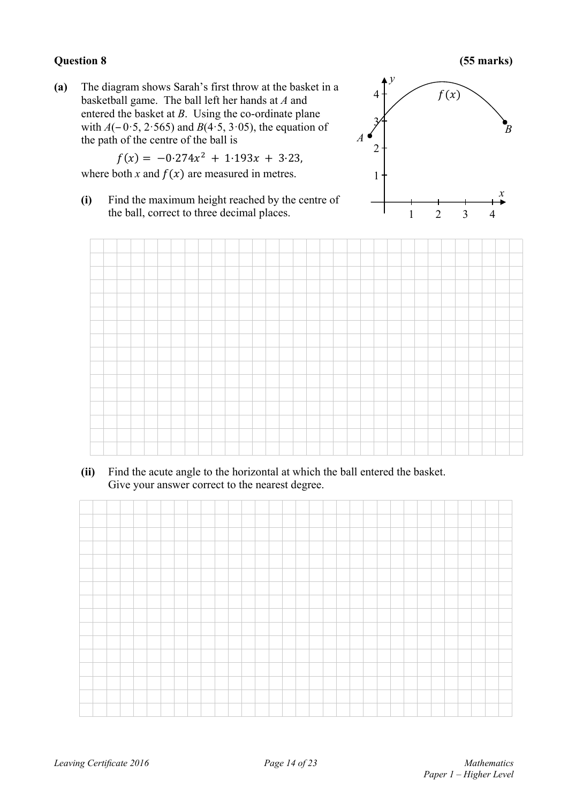**Question 8 (55 marks)** 

**(a)** The diagram shows Sarah's first throw at the basket in a basketball game. The ball left her hands at *A* and entered the basket at *B*. Using the co-ordinate plane with  $A(-0.5, 2.565)$  and  $B(4.5, 3.05)$ , the equation of the path of the centre of the ball is

$$
f(x) = -0.274x^{2} + 1.193x + 3.23,
$$

where both *x* and  $f(x)$  are measured in metres.

**(i)** Find the maximum height reached by the centre of the ball, correct to three decimal places.





**(ii)** Find the acute angle to the horizontal at which the ball entered the basket. Give your answer correct to the nearest degree.

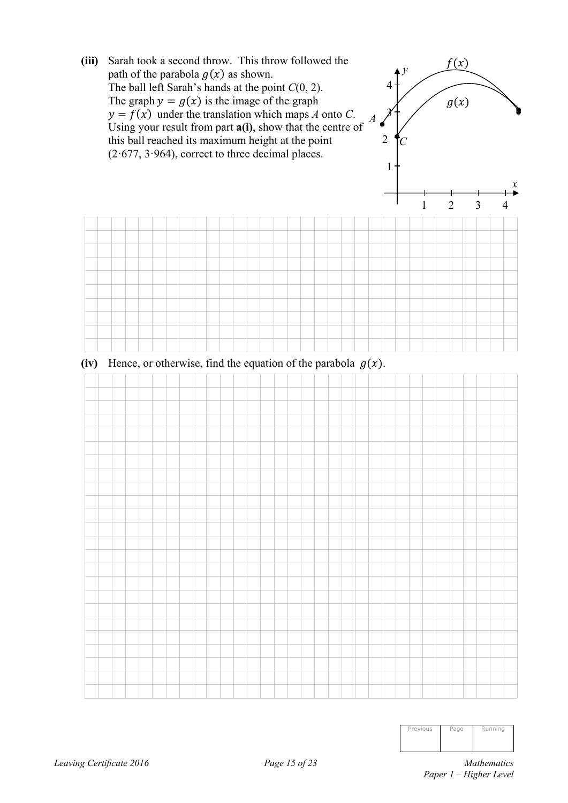

| Previous | Page | Running |
|----------|------|---------|
|          |      |         |
|          |      |         |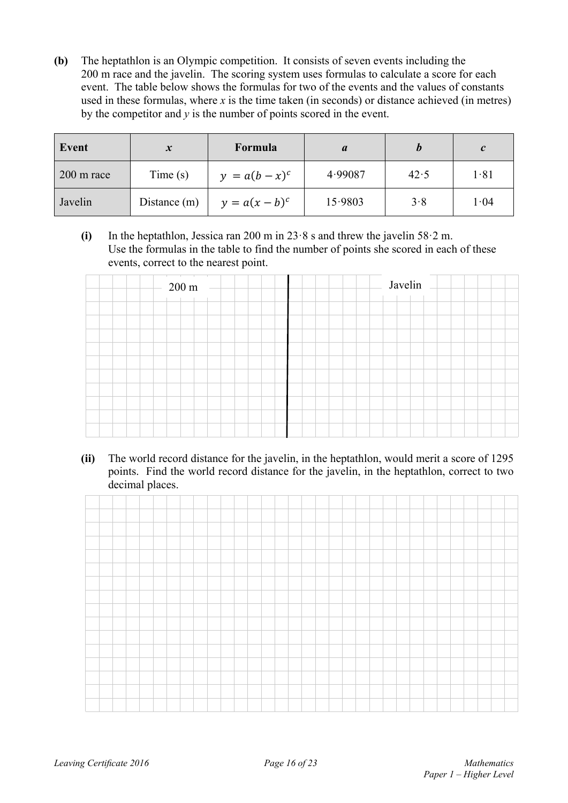**(b)** The heptathlon is an Olympic competition. It consists of seven events including the 200 m race and the javelin.The scoring system uses formulas to calculate a score for each event. The table below shows the formulas for two of the events and the values of constants used in these formulas, where  $x$  is the time taken (in seconds) or distance achieved (in metres) by the competitor and  $y$  is the number of points scored in the event.

| Event                | $\boldsymbol{x}$ | Formula          |         |      | $\mathcal{C}$ |
|----------------------|------------------|------------------|---------|------|---------------|
| $200 \text{ m}$ race | Time(s)          | $y = a(b - x)^c$ | 4.99087 | 42.5 | 1.81          |
| Javelin              | Distance $(m)$   | $y = a(x - b)^c$ | 15.9803 | 3.8  | 1.04          |

 **(i)** In the heptathlon, Jessica ran 200 m in 23·8 s and threw the javelin 58·2 m. Use the formulas in the table to find the number of points she scored in each of these events, correct to the nearest point.

| $200 \text{ m}$ – | Javelin |  |
|-------------------|---------|--|
|                   |         |  |
|                   |         |  |
|                   |         |  |
|                   |         |  |
|                   |         |  |
|                   |         |  |
|                   |         |  |
|                   |         |  |
|                   |         |  |

**(ii)** The world record distance for the javelin, in the heptathlon, would merit a score of 1295 points. Find the world record distance for the javelin, in the heptathlon, correct to two decimal places.

|  | and the contract of the contract of the contract of the contract of the contract of the contract of the contract of the contract of the contract of the contract of the contract of the contract of the contract of the contra |  |  |  |  |  |  |  |  |  |  |  |  |  |  |  |
|--|--------------------------------------------------------------------------------------------------------------------------------------------------------------------------------------------------------------------------------|--|--|--|--|--|--|--|--|--|--|--|--|--|--|--|
|  |                                                                                                                                                                                                                                |  |  |  |  |  |  |  |  |  |  |  |  |  |  |  |
|  |                                                                                                                                                                                                                                |  |  |  |  |  |  |  |  |  |  |  |  |  |  |  |
|  |                                                                                                                                                                                                                                |  |  |  |  |  |  |  |  |  |  |  |  |  |  |  |
|  |                                                                                                                                                                                                                                |  |  |  |  |  |  |  |  |  |  |  |  |  |  |  |
|  |                                                                                                                                                                                                                                |  |  |  |  |  |  |  |  |  |  |  |  |  |  |  |
|  |                                                                                                                                                                                                                                |  |  |  |  |  |  |  |  |  |  |  |  |  |  |  |
|  |                                                                                                                                                                                                                                |  |  |  |  |  |  |  |  |  |  |  |  |  |  |  |
|  |                                                                                                                                                                                                                                |  |  |  |  |  |  |  |  |  |  |  |  |  |  |  |
|  |                                                                                                                                                                                                                                |  |  |  |  |  |  |  |  |  |  |  |  |  |  |  |
|  |                                                                                                                                                                                                                                |  |  |  |  |  |  |  |  |  |  |  |  |  |  |  |
|  |                                                                                                                                                                                                                                |  |  |  |  |  |  |  |  |  |  |  |  |  |  |  |
|  |                                                                                                                                                                                                                                |  |  |  |  |  |  |  |  |  |  |  |  |  |  |  |
|  |                                                                                                                                                                                                                                |  |  |  |  |  |  |  |  |  |  |  |  |  |  |  |
|  |                                                                                                                                                                                                                                |  |  |  |  |  |  |  |  |  |  |  |  |  |  |  |
|  |                                                                                                                                                                                                                                |  |  |  |  |  |  |  |  |  |  |  |  |  |  |  |
|  |                                                                                                                                                                                                                                |  |  |  |  |  |  |  |  |  |  |  |  |  |  |  |
|  |                                                                                                                                                                                                                                |  |  |  |  |  |  |  |  |  |  |  |  |  |  |  |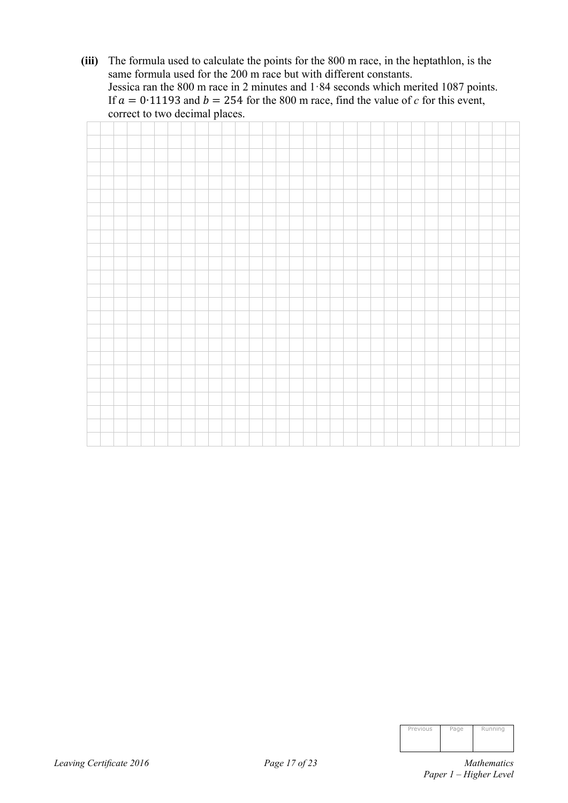**(iii)** The formula used to calculate the points for the 800 m race, in the heptathlon, is the same formula used for the 200 m race but with different constants. Jessica ran the 800 m race in 2 minutes and 1·84 seconds which merited 1087 points. If  $a = 0.11193$  and  $b = 254$  for the 800 m race, find the value of *c* for this event, correct to two decimal places.

| Previous | Page | Running |
|----------|------|---------|
|          |      |         |
|          |      |         |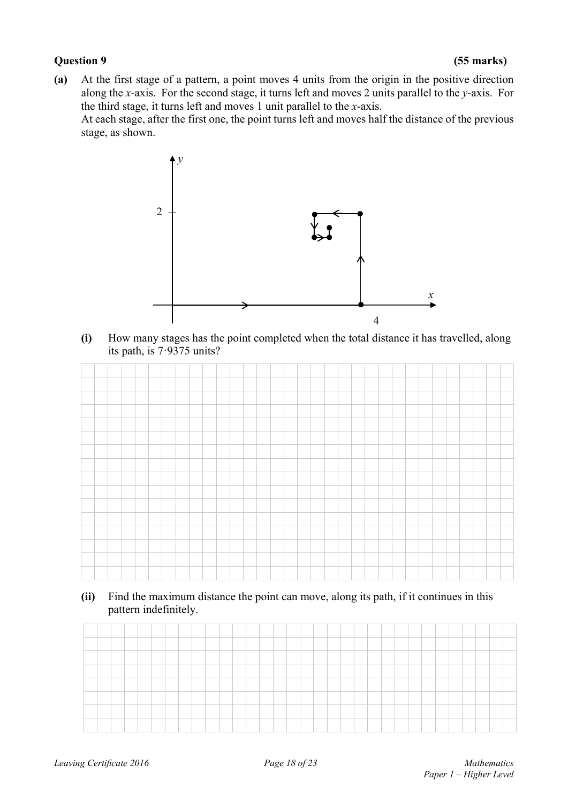### **Question 9 (55 marks)**

**(a)** At the first stage of a pattern, a point moves 4 units from the origin in the positive direction along the *x*-axis. For the second stage, it turns left and moves 2 units parallel to the *y*-axis. For the third stage, it turns left and moves 1 unit parallel to the *x*-axis.

 At each stage, after the first one, the point turns left and moves half the distance of the previous stage, as shown.



 **(i)** How many stages has the point completed when the total distance it has travelled, along its path, is 7·9375 units?



 **(ii)** Find the maximum distance the point can move, along its path, if it continues in this pattern indefinitely.

| and the property of the con- |  |  |  |  |  |  |  |  |  |  |  |  |  |  |  |  |
|------------------------------|--|--|--|--|--|--|--|--|--|--|--|--|--|--|--|--|
|                              |  |  |  |  |  |  |  |  |  |  |  |  |  |  |  |  |
|                              |  |  |  |  |  |  |  |  |  |  |  |  |  |  |  |  |
|                              |  |  |  |  |  |  |  |  |  |  |  |  |  |  |  |  |
|                              |  |  |  |  |  |  |  |  |  |  |  |  |  |  |  |  |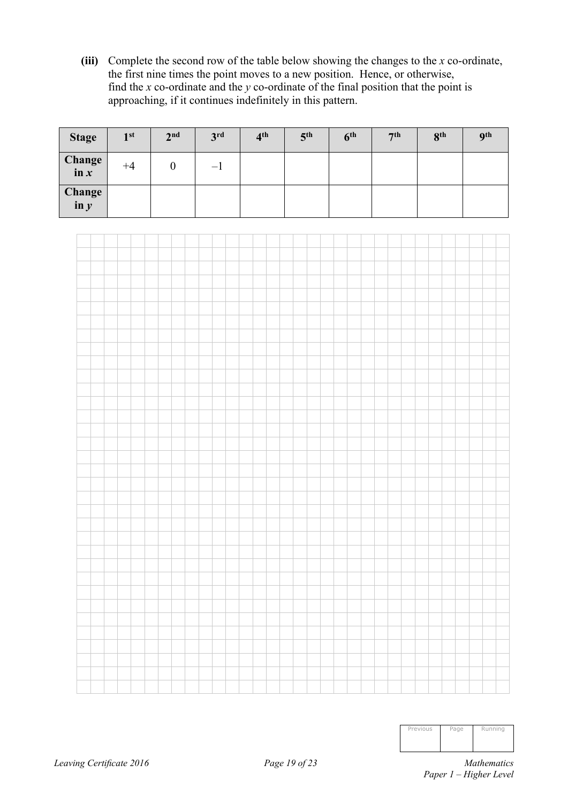**(iii)** Complete the second row of the table below showing the changes to the *x* co-ordinate, the first nine times the point moves to a new position. Hence, or otherwise, find the *x* co-ordinate and the *y* co-ordinate of the final position that the point is approaching, if it continues indefinitely in this pattern.

| <b>Stage</b>      | 1 <sup>st</sup> | 2 <sup>nd</sup> | 3 <sup>rd</sup> | 4 <sup>th</sup> | 5 <sup>th</sup> | 6 <sup>th</sup> | 7 <sup>th</sup> | 8 <sup>th</sup> | <b>Qth</b> |
|-------------------|-----------------|-----------------|-----------------|-----------------|-----------------|-----------------|-----------------|-----------------|------------|
| Change<br>$\ln x$ | $+4$            |                 | $-1$            |                 |                 |                 |                 |                 |            |
| Change<br>$\ln y$ |                 |                 |                 |                 |                 |                 |                 |                 |            |

| Previous | Page | Running |
|----------|------|---------|
|          |      |         |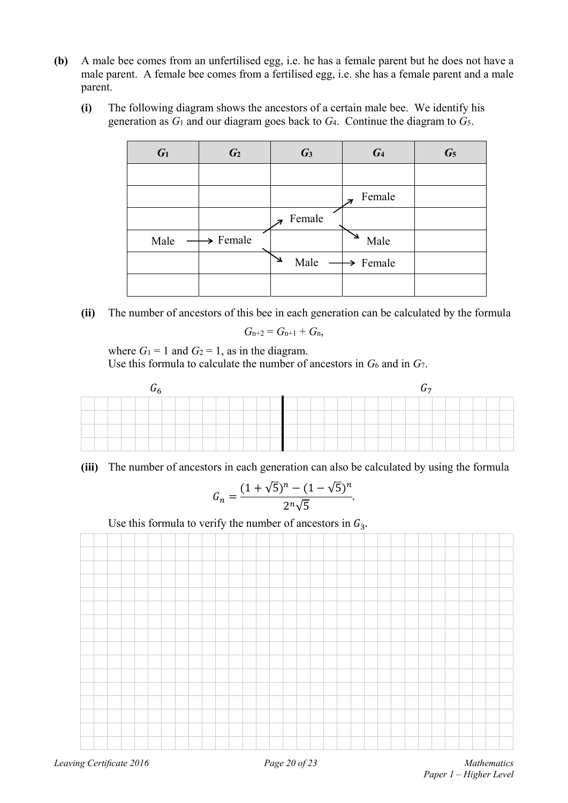- **(b)** A male bee comes from an unfertilised egg, i.e. he has a female parent but he does not have a male parent.A female bee comes from a fertilised egg, i.e. she has a female parent and a male parent.
	- **(i)** The following diagram shows the ancestors of a certain male bee. We identify his generation as *G*1 and our diagram goes back to *G*4. Continue the diagram to *G*5.

| $G_1$ | G <sub>2</sub>       | $\mathcal{G}_3$ | $G_4$                | $G_5$ |
|-------|----------------------|-----------------|----------------------|-------|
|       |                      |                 |                      |       |
|       |                      |                 | Female               |       |
|       |                      | Female          |                      |       |
| Male  | $\rightarrow$ Female |                 | Male                 |       |
|       |                      | Male            | $\rightarrow$ Female |       |
|       |                      |                 |                      |       |

**(ii)** The number of ancestors of this bee in each generation can be calculated by the formula

$$
G_{n+2}=G_{n+1}+G_n,
$$

where  $G_1 = 1$  and  $G_2 = 1$ , as in the diagram. Use this formula to calculate the number of ancestors in  $G_6$  and in  $G_7$ .

|  |  | $\mathsf{u}_6$ |  |  |  |  |  |  |  |  |  | $U_7$ |  |  |  |
|--|--|----------------|--|--|--|--|--|--|--|--|--|-------|--|--|--|
|  |  |                |  |  |  |  |  |  |  |  |  |       |  |  |  |
|  |  |                |  |  |  |  |  |  |  |  |  |       |  |  |  |
|  |  |                |  |  |  |  |  |  |  |  |  |       |  |  |  |
|  |  |                |  |  |  |  |  |  |  |  |  |       |  |  |  |

**(iii)** The number of ancestors in each generation can also be calculated by using the formula

$$
G_n = \frac{(1 + \sqrt{5})^n - (1 - \sqrt{5})^n}{2^n \sqrt{5}}.
$$

Use this formula to verify the number of ancestors in  $G_3$ .

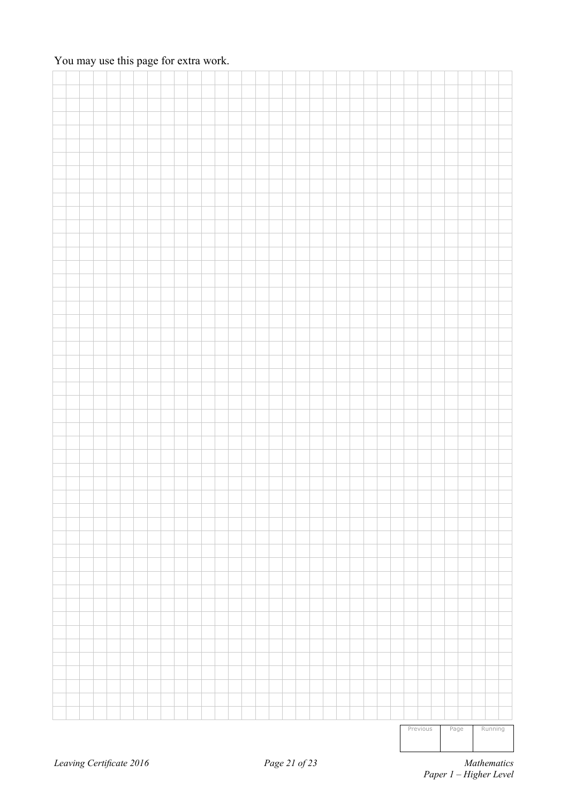### You may use this page for extra work.

|  |  |  |  |  |  |  |  |  |  |  |  |  | Previous | Page |  | Running |  |
|--|--|--|--|--|--|--|--|--|--|--|--|--|----------|------|--|---------|--|
|  |  |  |  |  |  |  |  |  |  |  |  |  |          |      |  |         |  |
|  |  |  |  |  |  |  |  |  |  |  |  |  |          |      |  |         |  |
|  |  |  |  |  |  |  |  |  |  |  |  |  |          |      |  |         |  |
|  |  |  |  |  |  |  |  |  |  |  |  |  |          |      |  |         |  |
|  |  |  |  |  |  |  |  |  |  |  |  |  |          |      |  |         |  |
|  |  |  |  |  |  |  |  |  |  |  |  |  |          |      |  |         |  |
|  |  |  |  |  |  |  |  |  |  |  |  |  |          |      |  |         |  |
|  |  |  |  |  |  |  |  |  |  |  |  |  |          |      |  |         |  |
|  |  |  |  |  |  |  |  |  |  |  |  |  |          |      |  |         |  |
|  |  |  |  |  |  |  |  |  |  |  |  |  |          |      |  |         |  |
|  |  |  |  |  |  |  |  |  |  |  |  |  |          |      |  |         |  |
|  |  |  |  |  |  |  |  |  |  |  |  |  |          |      |  |         |  |
|  |  |  |  |  |  |  |  |  |  |  |  |  |          |      |  |         |  |
|  |  |  |  |  |  |  |  |  |  |  |  |  |          |      |  |         |  |
|  |  |  |  |  |  |  |  |  |  |  |  |  |          |      |  |         |  |
|  |  |  |  |  |  |  |  |  |  |  |  |  |          |      |  |         |  |
|  |  |  |  |  |  |  |  |  |  |  |  |  |          |      |  |         |  |
|  |  |  |  |  |  |  |  |  |  |  |  |  |          |      |  |         |  |
|  |  |  |  |  |  |  |  |  |  |  |  |  |          |      |  |         |  |
|  |  |  |  |  |  |  |  |  |  |  |  |  |          |      |  |         |  |
|  |  |  |  |  |  |  |  |  |  |  |  |  |          |      |  |         |  |
|  |  |  |  |  |  |  |  |  |  |  |  |  |          |      |  |         |  |
|  |  |  |  |  |  |  |  |  |  |  |  |  |          |      |  |         |  |
|  |  |  |  |  |  |  |  |  |  |  |  |  |          |      |  |         |  |
|  |  |  |  |  |  |  |  |  |  |  |  |  |          |      |  |         |  |
|  |  |  |  |  |  |  |  |  |  |  |  |  |          |      |  |         |  |
|  |  |  |  |  |  |  |  |  |  |  |  |  |          |      |  |         |  |
|  |  |  |  |  |  |  |  |  |  |  |  |  |          |      |  |         |  |
|  |  |  |  |  |  |  |  |  |  |  |  |  |          |      |  |         |  |
|  |  |  |  |  |  |  |  |  |  |  |  |  |          |      |  |         |  |
|  |  |  |  |  |  |  |  |  |  |  |  |  |          |      |  |         |  |
|  |  |  |  |  |  |  |  |  |  |  |  |  |          |      |  |         |  |
|  |  |  |  |  |  |  |  |  |  |  |  |  |          |      |  |         |  |
|  |  |  |  |  |  |  |  |  |  |  |  |  |          |      |  |         |  |
|  |  |  |  |  |  |  |  |  |  |  |  |  |          |      |  |         |  |
|  |  |  |  |  |  |  |  |  |  |  |  |  |          |      |  |         |  |
|  |  |  |  |  |  |  |  |  |  |  |  |  |          |      |  |         |  |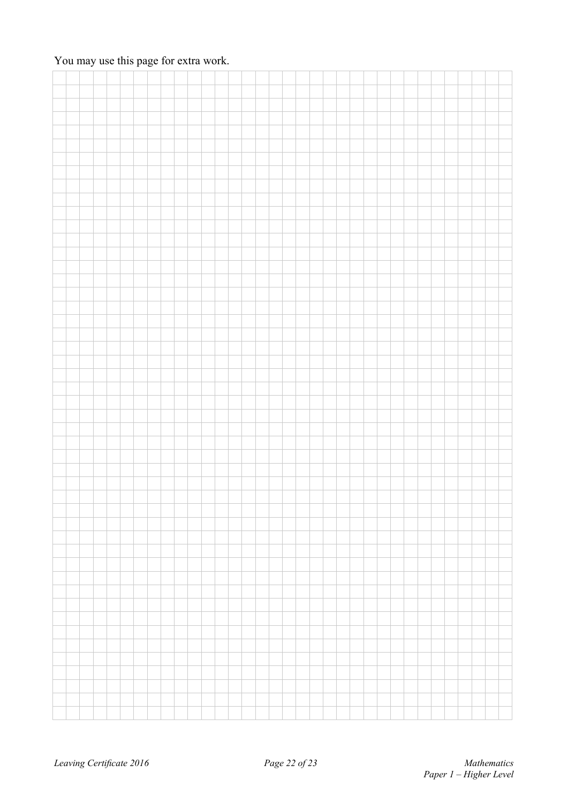### You may use this page for extra work.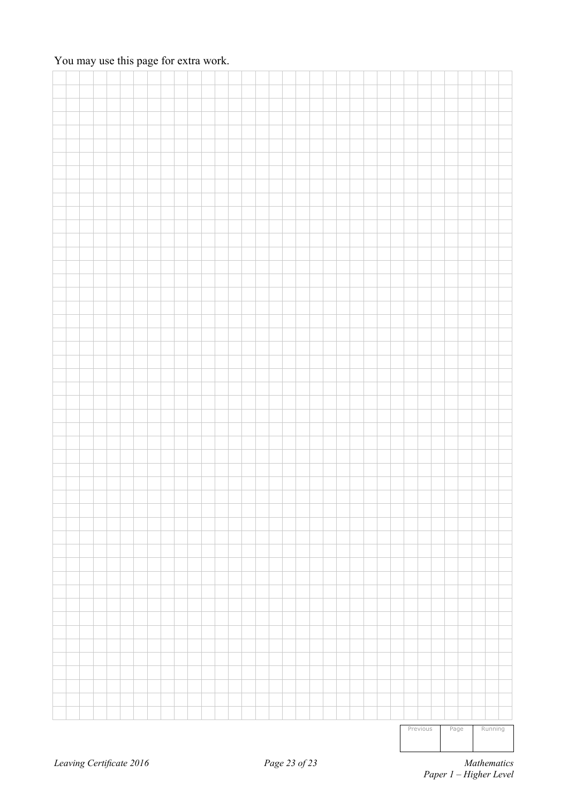### You may use this page for extra work.

|  |  |  |  |  |  |  |  |  |  |  |  |  |  | Previous |  | Page |  | Running |  |
|--|--|--|--|--|--|--|--|--|--|--|--|--|--|----------|--|------|--|---------|--|
|  |  |  |  |  |  |  |  |  |  |  |  |  |  |          |  |      |  |         |  |
|  |  |  |  |  |  |  |  |  |  |  |  |  |  |          |  |      |  |         |  |